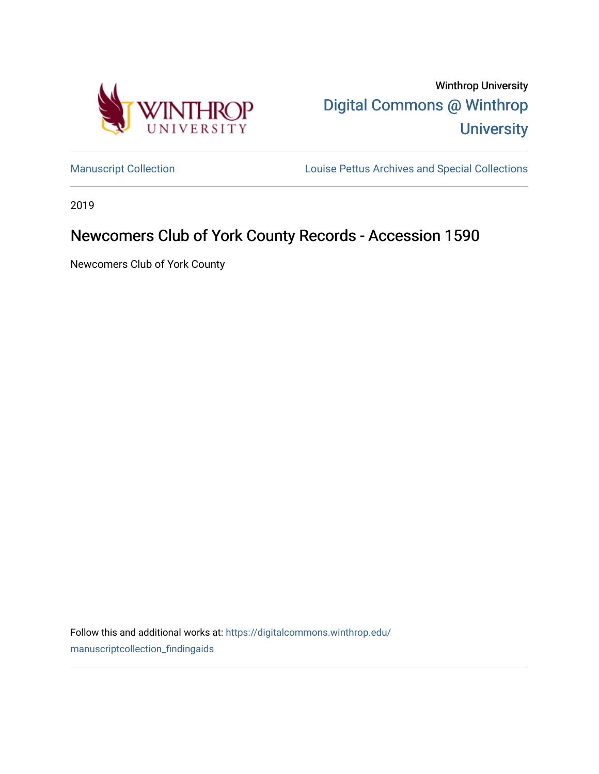

Winthrop University [Digital Commons @ Winthrop](https://digitalcommons.winthrop.edu/)  **University** 

[Manuscript Collection](https://digitalcommons.winthrop.edu/manuscriptcollection_findingaids) **Louise Pettus Archives and Special Collections** 

2019

# Newcomers Club of York County Records - Accession 1590

Newcomers Club of York County

Follow this and additional works at: [https://digitalcommons.winthrop.edu/](https://digitalcommons.winthrop.edu/manuscriptcollection_findingaids?utm_source=digitalcommons.winthrop.edu%2Fmanuscriptcollection_findingaids%2F1178&utm_medium=PDF&utm_campaign=PDFCoverPages) [manuscriptcollection\\_findingaids](https://digitalcommons.winthrop.edu/manuscriptcollection_findingaids?utm_source=digitalcommons.winthrop.edu%2Fmanuscriptcollection_findingaids%2F1178&utm_medium=PDF&utm_campaign=PDFCoverPages)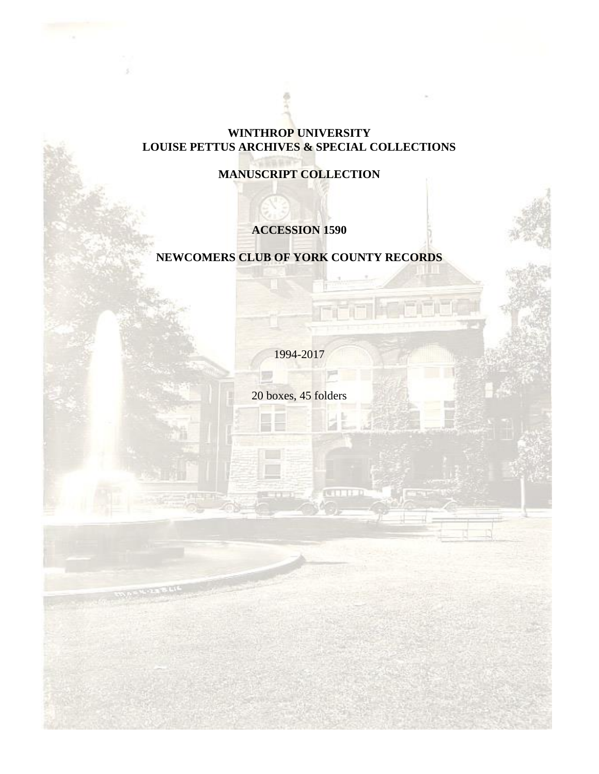### **WINTHROP UNIVERSITY LOUISE PETTUS ARCHIVES & SPECIAL COLLECTIONS**

**MANUSCRIPT COLLECTION**

### **ACCESSION 1590**

### **NEWCOMERS CLUB OF YORK COUNTY RECORDS**

1994-2017

20 boxes, 45 folders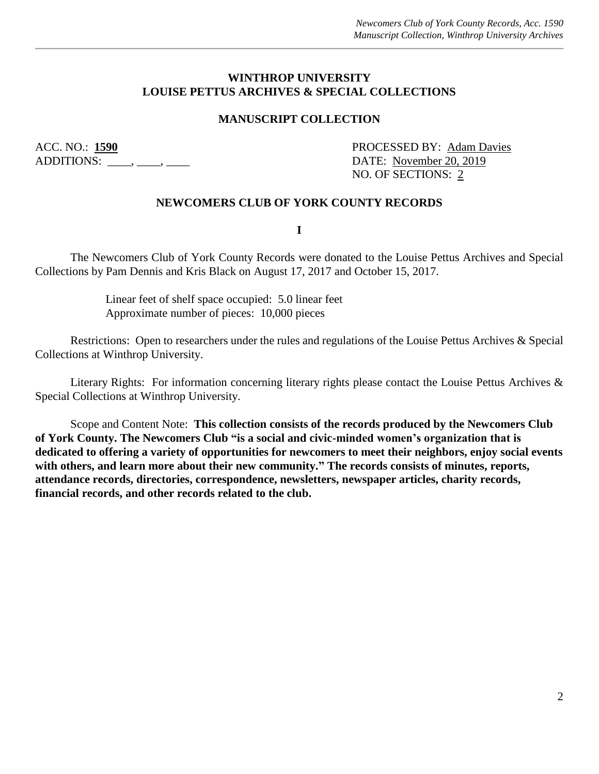#### **WINTHROP UNIVERSITY LOUISE PETTUS ARCHIVES & SPECIAL COLLECTIONS**

#### **MANUSCRIPT COLLECTION**

ADDITIONS: \_\_\_\_, \_\_\_, \_\_\_\_, \_\_\_\_\_ DATE: November 20, 2019

ACC. NO.: **1590** PROCESSED BY: Adam Davies NO. OF SECTIONS: 2

#### **NEWCOMERS CLUB OF YORK COUNTY RECORDS**

**I**

The Newcomers Club of York County Records were donated to the Louise Pettus Archives and Special Collections by Pam Dennis and Kris Black on August 17, 2017 and October 15, 2017.

> Linear feet of shelf space occupied: 5.0 linear feet Approximate number of pieces: 10,000 pieces

Restrictions: Open to researchers under the rules and regulations of the Louise Pettus Archives & Special Collections at Winthrop University.

Literary Rights: For information concerning literary rights please contact the Louise Pettus Archives & Special Collections at Winthrop University.

Scope and Content Note: **This collection consists of the records produced by the Newcomers Club of York County. The Newcomers Club "is a social and civic-minded women's organization that is dedicated to offering a variety of opportunities for newcomers to meet their neighbors, enjoy social events with others, and learn more about their new community." The records consists of minutes, reports, attendance records, directories, correspondence, newsletters, newspaper articles, charity records, financial records, and other records related to the club.**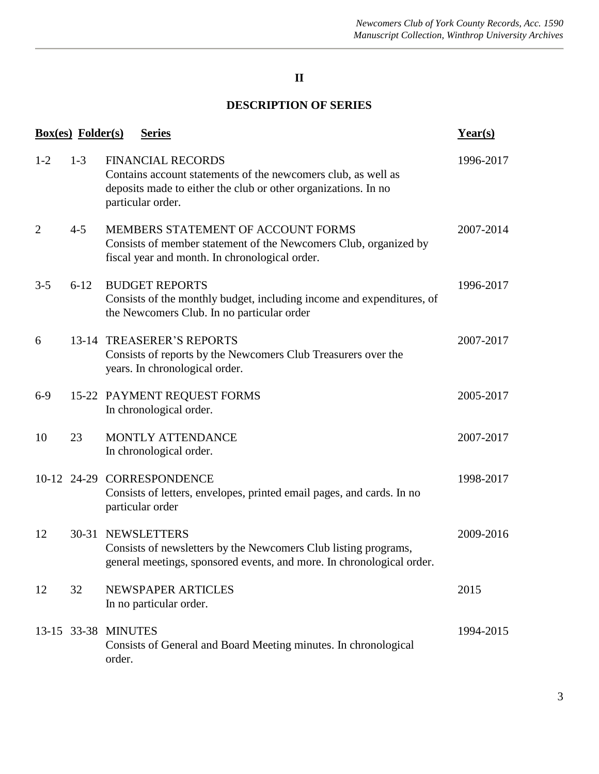### **II**

### **DESCRIPTION OF SERIES**

|                | <b>Box(es)</b> Folder(s) | <b>Series</b>                                                                                                                                                                    | Year(s)   |
|----------------|--------------------------|----------------------------------------------------------------------------------------------------------------------------------------------------------------------------------|-----------|
| $1-2$          | $1-3$                    | <b>FINANCIAL RECORDS</b><br>Contains account statements of the newcomers club, as well as<br>deposits made to either the club or other organizations. In no<br>particular order. | 1996-2017 |
| $\overline{2}$ | $4 - 5$                  | MEMBERS STATEMENT OF ACCOUNT FORMS<br>Consists of member statement of the Newcomers Club, organized by<br>fiscal year and month. In chronological order.                         | 2007-2014 |
| $3 - 5$        | $6 - 12$                 | <b>BUDGET REPORTS</b><br>Consists of the monthly budget, including income and expenditures, of<br>the Newcomers Club. In no particular order                                     | 1996-2017 |
| 6              | $13 - 14$                | <b>TREASERER'S REPORTS</b><br>Consists of reports by the Newcomers Club Treasurers over the<br>years. In chronological order.                                                    | 2007-2017 |
| $6-9$          |                          | 15-22 PAYMENT REQUEST FORMS<br>In chronological order.                                                                                                                           | 2005-2017 |
| 10             | 23                       | MONTLY ATTENDANCE<br>In chronological order.                                                                                                                                     | 2007-2017 |
|                |                          | 10-12 24-29 CORRESPONDENCE<br>Consists of letters, envelopes, printed email pages, and cards. In no<br>particular order                                                          | 1998-2017 |
| 12             |                          | 30-31 NEWSLETTERS<br>Consists of newsletters by the Newcomers Club listing programs,<br>general meetings, sponsored events, and more. In chronological order.                    | 2009-2016 |
| 12             | 32                       | NEWSPAPER ARTICLES<br>In no particular order.                                                                                                                                    | 2015      |
|                |                          | 13-15 33-38 MINUTES<br>Consists of General and Board Meeting minutes. In chronological<br>order.                                                                                 | 1994-2015 |